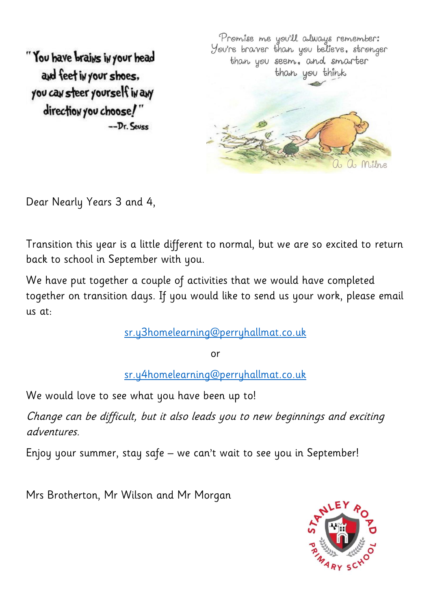"You have brains in your head and feet in your shoes, you can steer yourself in any direction you choose!"  $-Dr.$  Seves

Promise me you'll always remember: You're braver than you believe, stronger than you seem, and smarter than you think a Milne

Dear Nearly Years 3 and 4,

Transition this year is a little different to normal, but we are so excited to return back to school in September with you.

We have put together a couple of activities that we would have completed together on transition days. If you would like to send us your work, please email us at:

[sr.y3homelearning@perryhallmat.co.uk](mailto:sr.y3homelearning@perryhallmat.co.uk)

or

[sr.y4homelearning@perryhallmat.co.uk](mailto:sr.y4homelearning@perryhallmat.co.uk)

We would love to see what you have been up to!

Change can be difficult, but it also leads you to new beginnings and exciting adventures.

Enjoy your summer, stay safe – we can't wait to see you in September!

Mrs Brotherton, Mr Wilson and Mr Morgan

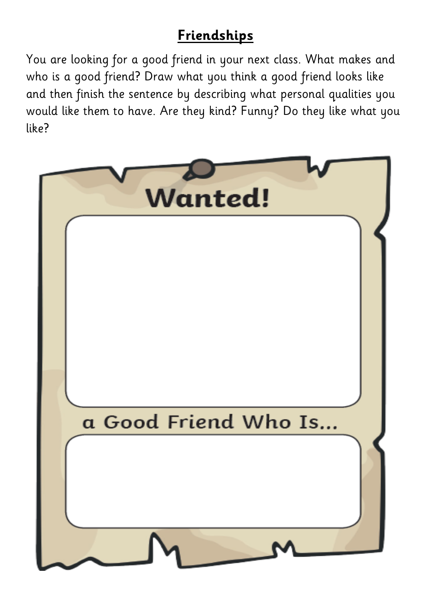## **Friendships**

You are looking for a good friend in your next class. What makes and who is a good friend? Draw what you think a good friend looks like and then finish the sentence by describing what personal qualities you would like them to have. Are they kind? Funny? Do they like what you like?

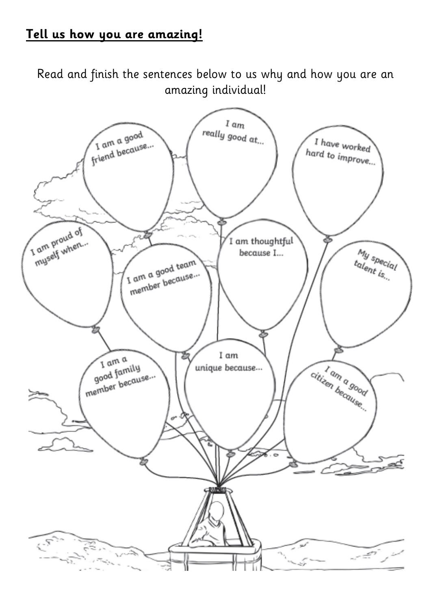## **Tell us how you are amazing!**

Read and finish the sentences below to us why and how you are an amazing individual!

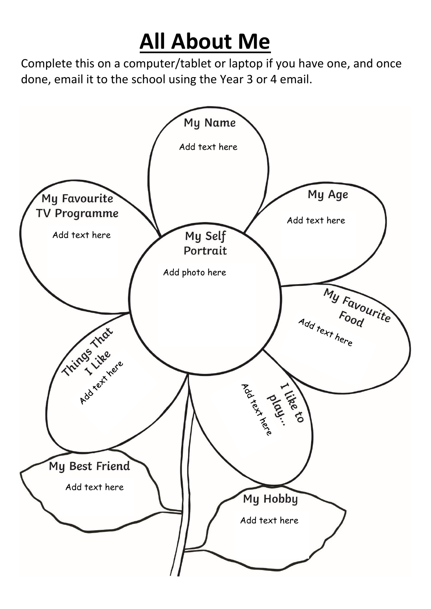## **All About Me**

Complete this on a computer/tablet or laptop if you have one, and once done, email it to the school using the Year 3 or 4 email.

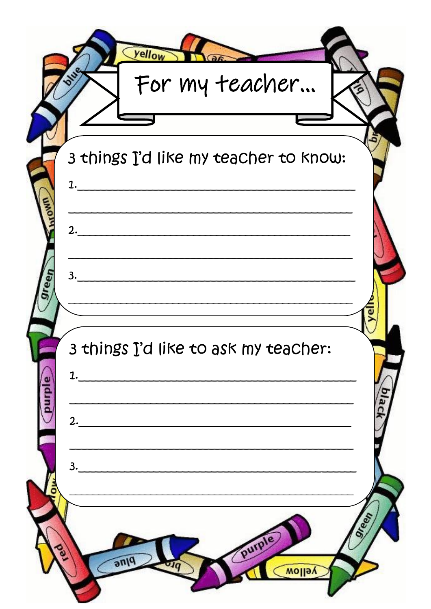|               | <b>Vellow</b><br>For my teacher             |      |
|---------------|---------------------------------------------|------|
|               | 3 things I'd like my teacher to know:<br>1. |      |
| een           | 2.<br>3.                                    |      |
| <b>Ourple</b> | 3 things I'd like to ask my teacher:<br>1.  |      |
|               | 2.<br>3.                                    |      |
|               | purpl<br>anq<br>yellow                      | reen |